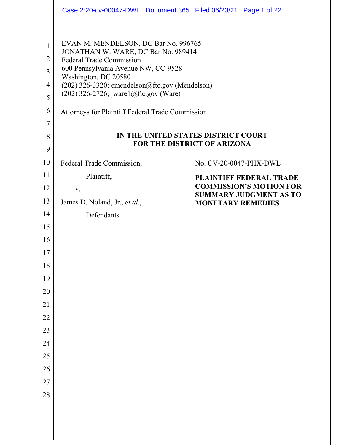|                                                                   |                                                                                                                                                                                                                                                                                                                                | Case 2:20-cv-00047-DWL Document 365 Filed 06/23/21 Page 1 of 22    |
|-------------------------------------------------------------------|--------------------------------------------------------------------------------------------------------------------------------------------------------------------------------------------------------------------------------------------------------------------------------------------------------------------------------|--------------------------------------------------------------------|
| $\mathbf{1}$<br>$\overline{2}$<br>3<br>4<br>5<br>6<br>7<br>8<br>9 | EVAN M. MENDELSON, DC Bar No. 996765<br>JONATHAN W. WARE, DC Bar No. 989414<br><b>Federal Trade Commission</b><br>600 Pennsylvania Avenue NW, CC-9528<br>Washington, DC 20580<br>(202) 326-3320; emendelson@ftc.gov (Mendelson)<br>$(202)$ 326-2726; jware1@ftc.gov (Ware)<br>Attorneys for Plaintiff Federal Trade Commission | IN THE UNITED STATES DISTRICT COURT<br>FOR THE DISTRICT OF ARIZONA |
| 10                                                                | Federal Trade Commission,                                                                                                                                                                                                                                                                                                      | No. CV-20-0047-PHX-DWL                                             |
| 11                                                                | Plaintiff,                                                                                                                                                                                                                                                                                                                     | <b>PLAINTIFF FEDERAL TRADE</b>                                     |
| 12                                                                | V.                                                                                                                                                                                                                                                                                                                             | <b>COMMISSION'S MOTION FOR</b>                                     |
| 13                                                                | James D. Noland, Jr., et al.,                                                                                                                                                                                                                                                                                                  | <b>SUMMARY JUDGMENT AS TO</b><br><b>MONETARY REMEDIES</b>          |
| 14                                                                | Defendants.                                                                                                                                                                                                                                                                                                                    |                                                                    |
| 15                                                                |                                                                                                                                                                                                                                                                                                                                |                                                                    |
| 16                                                                |                                                                                                                                                                                                                                                                                                                                |                                                                    |
| 17                                                                |                                                                                                                                                                                                                                                                                                                                |                                                                    |
| 18                                                                |                                                                                                                                                                                                                                                                                                                                |                                                                    |
| 19                                                                |                                                                                                                                                                                                                                                                                                                                |                                                                    |
| 20                                                                |                                                                                                                                                                                                                                                                                                                                |                                                                    |
| 21                                                                |                                                                                                                                                                                                                                                                                                                                |                                                                    |
| 22                                                                |                                                                                                                                                                                                                                                                                                                                |                                                                    |
| 23                                                                |                                                                                                                                                                                                                                                                                                                                |                                                                    |
| 24                                                                |                                                                                                                                                                                                                                                                                                                                |                                                                    |
| 25                                                                |                                                                                                                                                                                                                                                                                                                                |                                                                    |
| 26                                                                |                                                                                                                                                                                                                                                                                                                                |                                                                    |
| 27                                                                |                                                                                                                                                                                                                                                                                                                                |                                                                    |
| 28                                                                |                                                                                                                                                                                                                                                                                                                                |                                                                    |
|                                                                   |                                                                                                                                                                                                                                                                                                                                |                                                                    |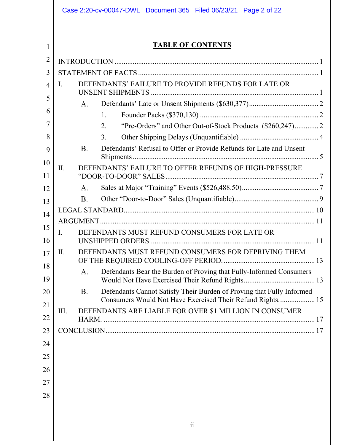|                | Case 2:20-cv-00047-DWL Document 365 Filed 06/23/21 Page 2 of 22                                                                                 |  |  |
|----------------|-------------------------------------------------------------------------------------------------------------------------------------------------|--|--|
|                |                                                                                                                                                 |  |  |
| 1              | <b>TABLE OF CONTENTS</b>                                                                                                                        |  |  |
| $\overline{2}$ |                                                                                                                                                 |  |  |
| 3              |                                                                                                                                                 |  |  |
| $\overline{4}$ | DEFENDANTS' FAILURE TO PROVIDE REFUNDS FOR LATE OR<br>Ι.                                                                                        |  |  |
| 5              | $A_{\cdot}$                                                                                                                                     |  |  |
| 6              | 1.                                                                                                                                              |  |  |
| 7              | 2.                                                                                                                                              |  |  |
| 8              | 3.                                                                                                                                              |  |  |
| 9              | <b>B.</b><br>Defendants' Refusal to Offer or Provide Refunds for Late and Unsent                                                                |  |  |
| 10             |                                                                                                                                                 |  |  |
| 11             | DEFENDANTS' FAILURE TO OFFER REFUNDS OF HIGH-PRESSURE<br>II.                                                                                    |  |  |
| 12             | A.                                                                                                                                              |  |  |
| 13             | <b>B.</b>                                                                                                                                       |  |  |
| 14             |                                                                                                                                                 |  |  |
| 15             |                                                                                                                                                 |  |  |
| 16             | DEFENDANTS MUST REFUND CONSUMERS FOR LATE OR<br>$\mathbf{I}$ .                                                                                  |  |  |
| 17             | DEFENDANTS MUST REFUND CONSUMERS FOR DEPRIVING THEM<br>П.                                                                                       |  |  |
| 18             | Defendants Bear the Burden of Proving that Fully-Informed Consumers<br>A.                                                                       |  |  |
| 19             |                                                                                                                                                 |  |  |
| 20             | Defendants Cannot Satisfy Their Burden of Proving that Fully Informed<br><b>B.</b><br>Consumers Would Not Have Exercised Their Refund Rights 15 |  |  |
| 21             | DEFENDANTS ARE LIABLE FOR OVER \$1 MILLION IN CONSUMER<br>Ш.                                                                                    |  |  |
| 22             |                                                                                                                                                 |  |  |
| 23             |                                                                                                                                                 |  |  |
| 24             |                                                                                                                                                 |  |  |
| 25             |                                                                                                                                                 |  |  |
| 26             |                                                                                                                                                 |  |  |
| 27             |                                                                                                                                                 |  |  |
| 28             |                                                                                                                                                 |  |  |
|                |                                                                                                                                                 |  |  |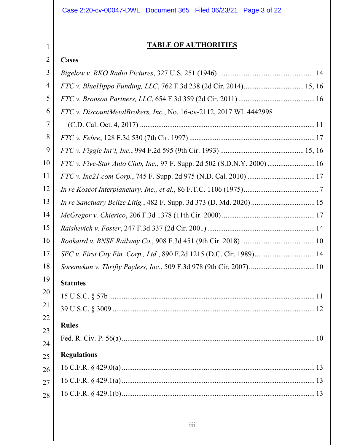# Case 2:20-cv-00047-DWL Document 365 Filed 06/23/21 Page 3 of 22

# **TABLE OF AUTHORITIES**

#### 2 **Cases**

| 3  |                                                                          |
|----|--------------------------------------------------------------------------|
| 4  | FTC v. BlueHippo Funding, LLC, 762 F.3d 238 (2d Cir. 2014) 15, 16        |
| 5  |                                                                          |
| 6  | FTC v. DiscountMetalBrokers, Inc., No. 16-cv-2112, 2017 WL 4442998       |
| 7  |                                                                          |
| 8  |                                                                          |
| 9  |                                                                          |
| 10 | FTC v. Five-Star Auto Club, Inc., 97 F. Supp. 2d 502 (S.D.N.Y. 2000)  16 |
| 11 |                                                                          |
| 12 |                                                                          |
| 13 |                                                                          |
| 14 |                                                                          |
| 15 |                                                                          |
| 16 |                                                                          |
| 17 | SEC v. First City Fin. Corp., Ltd., 890 F.2d 1215 (D.C. Cir. 1989) 14    |
| 18 |                                                                          |
| 19 | <b>Statutes</b>                                                          |
| 20 |                                                                          |
| 21 |                                                                          |
| 22 | <b>Rules</b>                                                             |
| 23 |                                                                          |
| 24 |                                                                          |
| 25 | <b>Regulations</b>                                                       |
| 26 |                                                                          |
| 27 |                                                                          |
| 28 |                                                                          |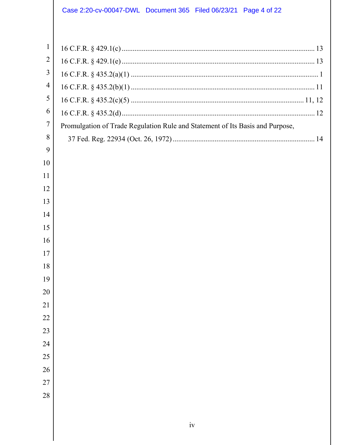# Case 2:20-cv-00047-DWL Document 365 Filed 06/23/21 Page 4 of 22

| $\mathbf{1}$   |                                                                               |
|----------------|-------------------------------------------------------------------------------|
| $\overline{2}$ |                                                                               |
| 3              |                                                                               |
| $\overline{4}$ |                                                                               |
| 5              |                                                                               |
| 6              |                                                                               |
| 7              | Promulgation of Trade Regulation Rule and Statement of Its Basis and Purpose, |
| 8              |                                                                               |
| 9              |                                                                               |
| 10             |                                                                               |
| 11             |                                                                               |
| 12             |                                                                               |
| 13             |                                                                               |
| 14             |                                                                               |
| 15             |                                                                               |
| 16             |                                                                               |
| 17             |                                                                               |
| 18             |                                                                               |
| 19             |                                                                               |
| 20             |                                                                               |
| 21             |                                                                               |
| 22             |                                                                               |
| 23             |                                                                               |
| 24             |                                                                               |
| 25             |                                                                               |
| 26             |                                                                               |
| 27             |                                                                               |
| 28             |                                                                               |
|                |                                                                               |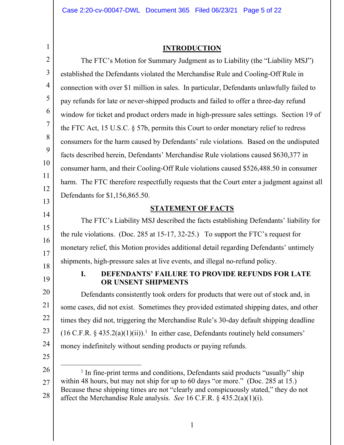**INTRODUCTION** 

<span id="page-4-0"></span>

| $\overline{2}$ | The FTC's Motion for Summary Judgment as to Liability (the "Liability MSJ")                                                                                              |  |  |
|----------------|--------------------------------------------------------------------------------------------------------------------------------------------------------------------------|--|--|
| 3              | established the Defendants violated the Merchandise Rule and Cooling-Off Rule in                                                                                         |  |  |
| $\overline{4}$ | connection with over \$1 million in sales. In particular, Defendants unlawfully failed to                                                                                |  |  |
| 5              | pay refunds for late or never-shipped products and failed to offer a three-day refund                                                                                    |  |  |
| 6              | window for ticket and product orders made in high-pressure sales settings. Section 19 of                                                                                 |  |  |
| $\tau$         | the FTC Act, 15 U.S.C. § 57b, permits this Court to order monetary relief to redress                                                                                     |  |  |
| 8              | consumers for the harm caused by Defendants' rule violations. Based on the undisputed                                                                                    |  |  |
| 9              | facts described herein, Defendants' Merchandise Rule violations caused \$630,377 in                                                                                      |  |  |
| 10             | consumer harm, and their Cooling-Off Rule violations caused \$526,488.50 in consumer                                                                                     |  |  |
| 11             | harm. The FTC therefore respectfully requests that the Court enter a judgment against all                                                                                |  |  |
| 12             | Defendants for \$1,156,865.50.                                                                                                                                           |  |  |
| 13             | <b>STATEMENT OF FACTS</b>                                                                                                                                                |  |  |
| 14             | The FTC's Liability MSJ described the facts establishing Defendants' liability for                                                                                       |  |  |
| 15             | the rule violations. (Doc. 285 at 15-17, 32-25.) To support the FTC's request for                                                                                        |  |  |
| 16<br>17       | monetary relief, this Motion provides additional detail regarding Defendants' untimely                                                                                   |  |  |
| 18             | shipments, high-pressure sales at live events, and illegal no-refund policy.                                                                                             |  |  |
| 19             | <b>DEFENDANTS' FAILURE TO PROVIDE REFUNDS FOR LATE</b><br>I.<br>OR UNSENT SHIPMENTS                                                                                      |  |  |
| 20             | Defendants consistently took orders for products that were out of stock and, in                                                                                          |  |  |
| 21             | some cases, did not exist. Sometimes they provided estimated shipping dates, and other                                                                                   |  |  |
| 22             | times they did not, triggering the Merchandise Rule's 30-day default shipping deadline                                                                                   |  |  |
| 23             | $(16 \text{ C.F.R. } § 435.2(a)(1)(ii))$ <sup>1</sup> In either case, Defendants routinely held consumers'                                                               |  |  |
| 24             | money indefinitely without sending products or paying refunds.                                                                                                           |  |  |
| 25             |                                                                                                                                                                          |  |  |
| 26             | <sup>1</sup> In fine-print terms and conditions, Defendants said products "usually" ship                                                                                 |  |  |
| 27             | within 48 hours, but may not ship for up to 60 days "or more." (Doc. 285 at 15.)<br>Because these shipping times are not "clearly and conspicuously stated," they do not |  |  |
| 28             | affect the Merchandise Rule analysis. See 16 C.F.R. $\S$ 435.2(a)(1)(i).                                                                                                 |  |  |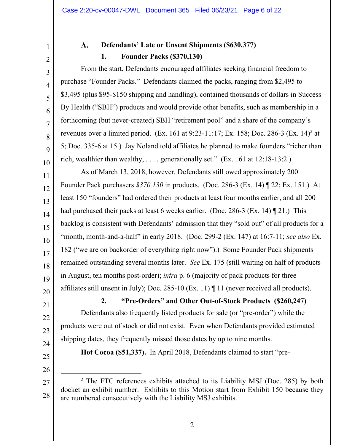3

4

5

6

7

8

9

10

<span id="page-5-0"></span>1

### A. **Defendants' Late or Unsent Shipments (\$630,377) 1. Founder Packs (\$370,130)**

From the start, Defendants encouraged affiliates seeking financial freedom to purchase "Founder Packs." Defendants claimed the packs, ranging from \$2,495 to \$3,495 (plus \$95-\$150 shipping and handling), contained thousands of dollars in Success By Health ("SBH") products and would provide other benefits, such as membership in a forthcoming (but never-created) SBH "retirement pool" and a share of the company's revenues over a limited period. (Ex. 161 at 9:23-11:17; Ex. 158; Doc. 286-3 (Ex. 14)<sup>2</sup> at 5; Doc. 335-6 at 15.) Jay Noland told affiliates he planned to make founders "richer than rich, wealthier than wealthy, . . . . generationally set." (Ex. 161 at 12:18-13:2.)

11 12 13 14 15 16 17 18 19 20 As of March 13, 2018, however, Defendants still owed approximately 200 Founder Pack purchasers *\$370,130* in products. (Doc. 286-3 (Ex. 14) ¶ 22; Ex. 151.) At least 150 "founders" had ordered their products at least four months earlier, and all 200 had purchased their packs at least 6 weeks earlier. (Doc. 286-3 (Ex. 14) ¶ 21.) This backlog is consistent with Defendants' admission that they "sold out" of all products for a "month, month-and-a-half" in early 2018. (Doc. 299-2 (Ex. 147) at 16:7-11; *see also* Ex. 182 ("we are on backorder of everything right now").) Some Founder Pack shipments remained outstanding several months later. *See* Ex. 175 (still waiting on half of products in August, ten months post-order); *infra* p. 6 (majority of pack products for three affiliates still unsent in July); Doc. 285-10 (Ex. 11) ¶ 11 (never received all products).

**2. "Pre-Orders" and Other Out-of-Stock Products (\$260,247)**  Defendants also frequently listed products for sale (or "pre-order") while the products were out of stock or did not exist. Even when Defendants provided estimated shipping dates, they frequently missed those dates by up to nine months.

24 25

21

22

23

26

 $\overline{a}$ 

**Hot Cocoa (\$51,337).** In April 2018, Defendants claimed to start "pre-

<sup>27</sup>  28 <sup>2</sup> The FTC references exhibits attached to its Liability MSJ (Doc. 285) by both docket an exhibit number. Exhibits to this Motion start from Exhibit 150 because they are numbered consecutively with the Liability MSJ exhibits.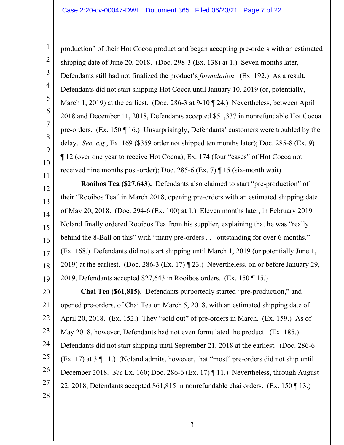2

3

4

5

6

7

8

9

10

11

production" of their Hot Cocoa product and began accepting pre-orders with an estimated shipping date of June 20, 2018. (Doc. 298-3 (Ex. 138) at 1.) Seven months later, Defendants still had not finalized the product's *formulation*. (Ex. 192.) As a result, Defendants did not start shipping Hot Cocoa until January 10, 2019 (or, potentially, March 1, 2019) at the earliest. (Doc. 286-3 at 9-10 ¶ 24.) Nevertheless, between April 2018 and December 11, 2018, Defendants accepted \$51,337 in nonrefundable Hot Cocoa pre-orders. (Ex. 150 ¶ 16.) Unsurprisingly, Defendants' customers were troubled by the delay. *See, e.g.*, Ex. 169 (\$359 order not shipped ten months later); Doc. 285-8 (Ex. 9) ¶ 12 (over one year to receive Hot Cocoa); Ex. 174 (four "cases" of Hot Cocoa not received nine months post-order); Doc. 285-6 (Ex. 7) ¶ 15 (six-month wait).

12 13 14 15 16 17 18 19 **Rooibos Tea (\$27,643).** Defendants also claimed to start "pre-production" of their "Rooibos Tea" in March 2018, opening pre-orders with an estimated shipping date of May 20, 2018. (Doc. 294-6 (Ex. 100) at 1.) Eleven months later, in February 2019*,*  Noland finally ordered Rooibos Tea from his supplier, explaining that he was "really behind the 8-Ball on this" with "many pre-orders . . . outstanding for over 6 months." (Ex. 168.) Defendants did not start shipping until March 1, 2019 (or potentially June 1, 2019) at the earliest. (Doc. 286-3 (Ex. 17) ¶ 23.) Nevertheless, on or before January 29, 2019, Defendants accepted \$27,643 in Rooibos orders. (Ex. 150 ¶ 15.)

20 21 22 23 24 25 26 27 28 **Chai Tea (\$61,815).** Defendants purportedly started "pre-production," and opened pre-orders, of Chai Tea on March 5, 2018, with an estimated shipping date of April 20, 2018. (Ex. 152.) They "sold out" of pre-orders in March. (Ex. 159.) As of May 2018, however, Defendants had not even formulated the product. (Ex. 185.) Defendants did not start shipping until September 21, 2018 at the earliest. (Doc. 286-6 (Ex. 17) at 3 ¶ 11.) (Noland admits, however, that "most" pre-orders did not ship until December 2018. *See* Ex. 160; Doc. 286-6 (Ex. 17) ¶ 11.) Nevertheless, through August 22, 2018, Defendants accepted \$61,815 in nonrefundable chai orders. (Ex. 150 ¶ 13.)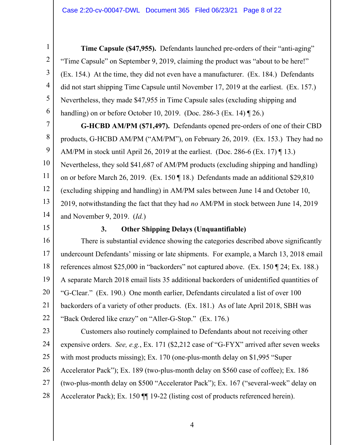**Time Capsule (\$47,955).** Defendants launched pre-orders of their "anti-aging" "Time Capsule" on September 9, 2019, claiming the product was "about to be here!" (Ex. 154.) At the time, they did not even have a manufacturer. (Ex. 184.) Defendants did not start shipping Time Capsule until November 17, 2019 at the earliest. (Ex. 157.) Nevertheless, they made \$47,955 in Time Capsule sales (excluding shipping and handling) on or before October 10, 2019. (Doc. 286-3 (Ex. 14) ¶ 26.)

7 8 9 10 11 12 13 14 **G-HCBD AM/PM (\$71,497).** Defendants opened pre-orders of one of their CBD products, G-HCBD AM/PM ("AM/PM"), on February 26, 2019. (Ex. 153.) They had no AM/PM in stock until April 26, 2019 at the earliest. (Doc. 286-6 (Ex. 17)  $\P$  13.) Nevertheless, they sold \$41,687 of AM/PM products (excluding shipping and handling) on or before March 26, 2019. (Ex. 150 ¶ 18.) Defendants made an additional \$29,810 (excluding shipping and handling) in AM/PM sales between June 14 and October 10, 2019, notwithstanding the fact that they had *no* AM/PM in stock between June 14, 2019 and November 9, 2019. (*Id.*)

15

<span id="page-7-0"></span>1

2

3

4

5

6

## **3. Other Shipping Delays (Unquantifiable)**

16 17 18 19 20 21 22 There is substantial evidence showing the categories described above significantly undercount Defendants' missing or late shipments. For example, a March 13, 2018 email references almost \$25,000 in "backorders" not captured above. (Ex. 150 ¶ 24; Ex. 188.) A separate March 2018 email lists 35 additional backorders of unidentified quantities of "G-Clear." (Ex. 190.) One month earlier, Defendants circulated a list of over 100 backorders of a variety of other products. (Ex. 181.) As of late April 2018, SBH was "Back Ordered like crazy" on "Aller-G-Stop." (Ex. 176.)

23 24 25 26 27 28 Customers also routinely complained to Defendants about not receiving other expensive orders. *See, e.g.*, Ex. 171 (\$2,212 case of "G-FYX" arrived after seven weeks with most products missing); Ex. 170 (one-plus-month delay on \$1,995 "Super Accelerator Pack"); Ex. 189 (two-plus-month delay on \$560 case of coffee); Ex. 186 (two-plus-month delay on \$500 "Accelerator Pack"); Ex. 167 ("several-week" delay on Accelerator Pack); Ex. 150  $\P$  19-22 (listing cost of products referenced herein).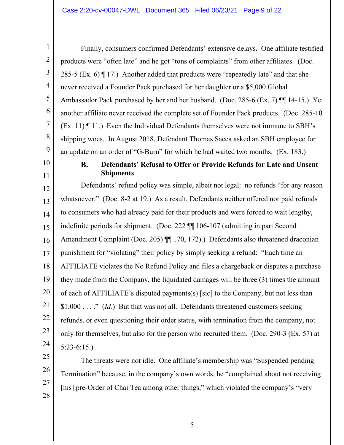Finally, consumers confirmed Defendants' extensive delays. One affiliate testified products were "often late" and he got "tons of complaints" from other affiliates. (Doc. 285-5 (Ex. 6)  $\P$  17.) Another added that products were "repeatedly late" and that she never received a Founder Pack purchased for her daughter or a \$5,000 Global Ambassador Pack purchased by her and her husband. (Doc. 285-6 (Ex. 7) ¶¶ 14-15.) Yet another affiliate never received the complete set of Founder Pack products. (Doc. 285-10 (Ex. 11) ¶ 11.) Even the Individual Defendants themselves were not immune to SBH's shipping woes. In August 2018, Defendant Thomas Sacca asked an SBH employee for an update on an order of "G-Burn" for which he had waited two months. (Ex. 183.)

10 11

25

26

27

28

<span id="page-8-0"></span>1

2

3

4

5

6

7

8

9

### **B. Defendants' Refusal to Offer or Provide Refunds for Late and Unsent Shipments**

12 13 14 15 16 17 18 19 20 21 22 23 24 Defendants' refund policy was simple, albeit not legal: no refunds "for any reason whatsoever." (Doc. 8-2 at 19.) As a result, Defendants neither offered nor paid refunds to consumers who had already paid for their products and were forced to wait lengthy, indefinite periods for shipment. (Doc. 222 ¶¶ 106-107 (admitting in part Second Amendment Complaint (Doc. 205) ¶¶ 170, 172).) Defendants also threatened draconian punishment for "violating" their policy by simply seeking a refund: "Each time an AFFILIATE violates the No Refund Policy and files a chargeback or disputes a purchase they made from the Company, the liquidated damages will be three (3) times the amount of each of AFFILIATE's disputed payments(s) [sic] to the Company, but not less than \$1,000 . . . ." (*Id.*) But that was not all. Defendants threatened customers seeking refunds, or even questioning their order status, with termination from the company, not only for themselves, but also for the person who recruited them. (Doc. 290-3 (Ex. 57) at 5:23-6:15.)

The threats were not idle. One affiliate's membership was "Suspended pending Termination" because, in the company's own words, he "complained about not receiving [his] pre-Order of Chai Tea among other things," which violated the company's "very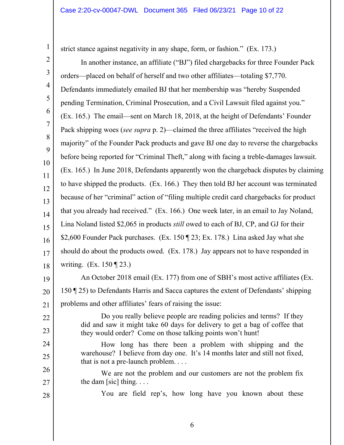strict stance against negativity in any shape, form, or fashion." (Ex. 173.)

1

22

23

24

25

28

2 3 4 5 6 7 8 9 10 11 12 13 14 15 16 17 18 In another instance, an affiliate ("BJ") filed chargebacks for three Founder Pack orders—placed on behalf of herself and two other affiliates—totaling \$7,770. Defendants immediately emailed BJ that her membership was "hereby Suspended pending Termination, Criminal Prosecution, and a Civil Lawsuit filed against you." (Ex. 165.) The email—sent on March 18, 2018, at the height of Defendants' Founder Pack shipping woes (*see supra* p. 2)—claimed the three affiliates "received the high majority" of the Founder Pack products and gave BJ one day to reverse the chargebacks before being reported for "Criminal Theft," along with facing a treble-damages lawsuit. (Ex. 165.) In June 2018, Defendants apparently won the chargeback disputes by claiming to have shipped the products. (Ex. 166.) They then told BJ her account was terminated because of her "criminal" action of "filing multiple credit card chargebacks for product that you already had received." (Ex. 166.) One week later, in an email to Jay Noland, Lina Noland listed \$2,065 in products *still* owed to each of BJ, CP, and GJ for their \$2,600 Founder Pack purchases. (Ex. 150 ¶ 23; Ex. 178.) Lina asked Jay what she should do about the products owed. (Ex. 178.) Jay appears not to have responded in writing. (Ex. 150 ¶ 23.)

19 20 21 An October 2018 email (Ex. 177) from one of SBH's most active affiliates (Ex. 150 ¶ 25) to Defendants Harris and Sacca captures the extent of Defendants' shipping problems and other affiliates' fears of raising the issue:

> Do you really believe people are reading policies and terms? If they did and saw it might take 60 days for delivery to get a bag of coffee that they would order? Come on those talking points won't hunt!

How long has there been a problem with shipping and the warehouse? I believe from day one. It's 14 months later and still not fixed, that is not a pre-launch problem. . . .

26 27 We are not the problem and our customers are not the problem fix the dam [sic] thing.  $\ldots$ 

You are field rep's, how long have you known about these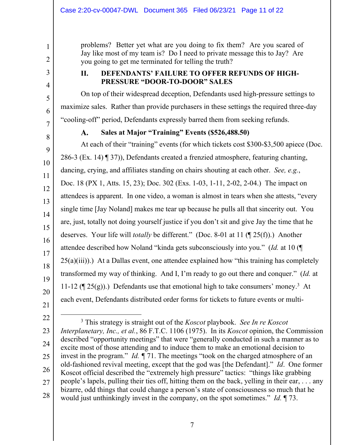problems? Better yet what are you doing to fix them? Are you scared of Jay like most of my team is? Do I need to private message this to Jay? Are you going to get me terminated for telling the truth?

## **II. DEFENDANTS' FAILURE TO OFFER REFUNDS OF HIGH-PRESSURE "DOOR-TO-DOOR" SALES**

On top of their widespread deception, Defendants used high-pressure settings to maximize sales. Rather than provide purchasers in these settings the required three-day "cooling-off" period, Defendants expressly barred them from seeking refunds.

7 8

<span id="page-10-0"></span>1

2

3

4

5

6

9

10

11

12

13

14

15

16

17

18

19

20

21

#### A. **Sales at Major "Training" Events ([\\$526,488.50\)](https://526,488.50)**

At each of their "training" events (for which tickets cost \$300-\$3,500 apiece (Doc. 286-3 (Ex. 14) ¶ 37)), Defendants created a frenzied atmosphere, featuring chanting, dancing, crying, and affiliates standing on chairs shouting at each other. *See, e.g.*, Doc. 18 (PX 1, Atts. 15, 23); Doc. 302 (Exs. 1-03, 1-11, 2-02, 2-04.) The impact on attendees is apparent. In one video, a woman is almost in tears when she attests, "every single time [Jay Noland] makes me tear up because he pulls all that sincerity out. You are, just, totally not doing yourself justice if you don't sit and give Jay the time that he deserves. Your life will *totally* be different." (Doc. 8-01 at 11 (¶ 25(f)).) Another attendee described how Noland "kinda gets subconsciously into you." (*Id.* at 10 (¶  $25(a)(iii)$ ). At a Dallas event, one attendee explained how "this training has completely transformed my way of thinking. And I, I'm ready to go out there and conquer." (*Id.* at 11-12 ( $\P$  25(g)).) Defendants use that emotional high to take consumers' money.<sup>3</sup> At each event, Defendants distributed order forms for tickets to future events or multi-

 $\overline{a}$ 22 23 24 25 26 27 28 3 This strategy is straight out of the *Koscot* playbook. *See In re Koscot Interplanetary, Inc., et al.*, 86 F.T.C. 1106 (1975). In its *Koscot* opinion, the Commission described "opportunity meetings" that were "generally conducted in such a manner as to excite most of those attending and to induce them to make an emotional decision to invest in the program." *Id. ¶* 71. The meetings "took on the charged atmosphere of an old-fashioned revival meeting, except that the god was [the Defendant]." *Id*. One former Koscot official described the "extremely high pressure" tactics: "things like grabbing people's lapels, pulling their ties off, hitting them on the back, yelling in their ear, . . . any bizarre, odd things that could change a person's state of consciousness so much that he would just unthinkingly invest in the company, on the spot sometimes." *Id.* ¶ 73.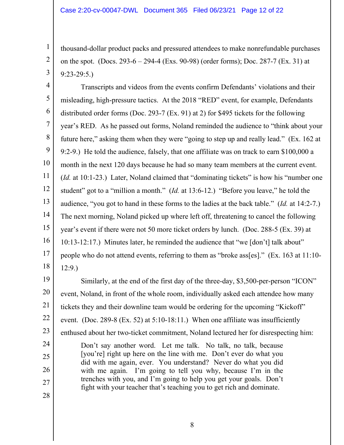thousand-dollar product packs and pressured attendees to make nonrefundable purchases on the spot. (Docs. 293-6 – 294-4 (Exs. 90-98) (order forms); Doc. 287-7 (Ex. 31) at 9:23-29:5.)

4 5 6 7 8 9 10 11 12 13 14 15 16 17 18 Transcripts and videos from the events confirm Defendants' violations and their misleading, high-pressure tactics. At the 2018 "RED" event, for example, Defendants distributed order forms (Doc. 293-7 (Ex. 91) at 2) for \$495 tickets for the following year's RED. As he passed out forms, Noland reminded the audience to "think about your future here," asking them when they were "going to step up and really lead." (Ex. 162 at 9:2-9.) He told the audience, falsely, that one affiliate was on track to earn \$100,000 a month in the next 120 days because he had so many team members at the current event. (*Id.* at 10:1-23.) Later, Noland claimed that "dominating tickets" is how his "number one student" got to a "million a month." (*Id.* at 13:6-12.) "Before you leave," he told the audience, "you got to hand in these forms to the ladies at the back table." (*Id.* at 14:2-7.) The next morning, Noland picked up where left off, threatening to cancel the following year's event if there were not 50 more ticket orders by lunch. (Doc. 288-5 (Ex. 39) at 10:13-12:17.) Minutes later, he reminded the audience that "we [don't] talk about" people who do not attend events, referring to them as "broke ass[es]." (Ex. 163 at 11:10- 12:9.)

19 20 21 22 23 24 25 26 Similarly, at the end of the first day of the three-day, \$3,500-per-person "ICON" event, Noland, in front of the whole room, individually asked each attendee how many tickets they and their downline team would be ordering for the upcoming "Kickoff" event. (Doc. 289-8 (Ex. 52) at 5:10-18:11.) When one affiliate was insufficiently enthused about her two-ticket commitment, Noland lectured her for disrespecting him: Don't say another word. Let me talk. No talk, no talk, because [you're] right up here on the line with me. Don't ever do what you did with me again, ever. You understand? Never do what you did with me again. I'm going to tell you why, because I'm in the trenches with you, and I'm going to help you get your goals. Don't

fight with your teacher that's teaching you to get rich and dominate.

27

1

2

3

28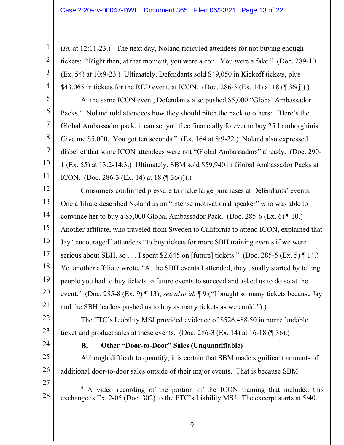<span id="page-12-0"></span>1  $(Id.$  at  $12:11-23.)$ <sup>4</sup> The next day, Noland ridiculed attendees for not buying enough 2 tickets: "Right then, at that moment, you were a con. You were a fake." (Doc. 289-10 3 (Ex. 54) at 10:9-23.) Ultimately, Defendants sold \$49,050 in Kickoff tickets, plus 4 \$43,065 in tickets for the RED event, at ICON. (Doc. 286-3 (Ex. 14) at 18  $(\sqrt{\frac{36}{1}})$ .) 5 At the same ICON event, Defendants also pushed \$5,000 "Global Ambassador 6 Packs." Noland told attendees how they should pitch the pack to others: "Here's the 7 Global Ambassador pack, it can set you free financially forever to buy 25 Lamborghinis. 8 Give me \$5,000. You got ten seconds." (Ex. 164 at 8:9-22.) Noland also expressed 9 disbelief that some ICON attendees were not "Global Ambassadors" already. (Doc. 290- 10 1 (Ex. 55) at 13:2-14:3.) Ultimately, SBM sold \$59,940 in Global Ambassador Packs at 11 ICON. (Doc. 286-3 (Ex. 14) at 18  $(\sqrt{\frac{36(i)}})$ .) 12 Consumers confirmed pressure to make large purchases at Defendants' events. 13 One affiliate described Noland as an "intense motivational speaker" who was able to 14 convince her to buy a \$5,000 Global Ambassador Pack. (Doc. 285-6 (Ex. 6)  $\P$  10.) 15 Another affiliate, who traveled from Sweden to California to attend ICON, explained that 16 Jay "encouraged" attendees "to buy tickets for more SBH training events if we were 17 serious about SBH, so . . . I spent \$2,645 on [future] tickets." (Doc. 285-5 (Ex. 5)  $\P$  14.) 18 Yet another affiliate wrote, "At the SBH events I attended, they usually started by telling 19 people you had to buy tickets to future events to succeed and asked us to do so at the 20 event." (Doc. 285-8 (Ex. 9) ¶ 13); *see also id.* ¶ 9 ("I bought so many tickets because Jay 21 and the SBH leaders pushed us to buy as many tickets as we could.").) 22 The FTC's Liability MSJ provided evidence of \$[526,488.50](https://526,488.50) in nonrefundable 23 ticket and product sales at these events. (Doc. 286-3 (Ex. 14) at  $16-18$  ( $\boxed{9}$  36).) 24 **B. Other "Door-to-Door" Sales (Unquantifiable)**  25 Although difficult to quantify, it is certain that SBM made significant amounts of 26 additional door-to-door sales outside of their major events. That is because SBM 27 <sup>4</sup> A video recording of the portion of the ICON training that included this 28 exchange is Ex. 2-05 (Doc. 302) to the FTC's Liability MSJ. The excerpt starts at 5:40.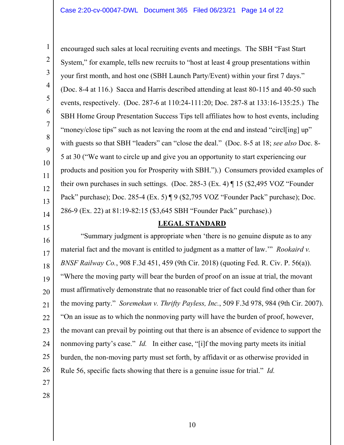<span id="page-13-0"></span>1

encouraged such sales at local recruiting events and meetings. The SBH "Fast Start System," for example, tells new recruits to "host at least 4 group presentations within your first month, and host one (SBH Launch Party/Event) within your first 7 days." (Doc. 8-4 at 116.) Sacca and Harris described attending at least 80-115 and 40-50 such events, respectively. (Doc. 287-6 at 110:24-111:20; Doc. 287-8 at 133:16-135:25.) The SBH Home Group Presentation Success Tips tell affiliates how to host events, including "money/close tips" such as not leaving the room at the end and instead "circl[ing] up" with guests so that SBH "leaders" can "close the deal." (Doc. 8-5 at 18; *see also* Doc. 8- 5 at 30 ("We want to circle up and give you an opportunity to start experiencing our products and position you for Prosperity with SBH.").) Consumers provided examples of their own purchases in such settings. (Doc. 285-3 (Ex. 4) ¶ 15 (\$2,495 VOZ "Founder Pack" purchase); Doc. 285-4 (Ex. 5) ¶ 9 (\$2,795 VOZ "Founder Pack" purchase); Doc. 286-9 (Ex. 22) at 81:19-82:15 (\$3,645 SBH "Founder Pack" purchase).)

## **LEGAL STANDARD**

 Rule 56, specific facts showing that there is a genuine issue for trial." *Id.* 27 "Summary judgment is appropriate when 'there is no genuine dispute as to any material fact and the movant is entitled to judgment as a matter of law.'" *Rookaird v. BNSF Railway Co.*, 908 F.3d 451, 459 (9th Cir. 2018) (quoting Fed. R. Civ. P. 56(a)). "Where the moving party will bear the burden of proof on an issue at trial, the movant must affirmatively demonstrate that no reasonable trier of fact could find other than for the moving party." *Soremekun v. Thrifty Payless, Inc.*, 509 F.3d 978, 984 (9th Cir. 2007). "On an issue as to which the nonmoving party will have the burden of proof, however, the movant can prevail by pointing out that there is an absence of evidence to support the nonmoving party's case." *Id.* In either case, "[i]f the moving party meets its initial burden, the non-moving party must set forth, by affidavit or as otherwise provided in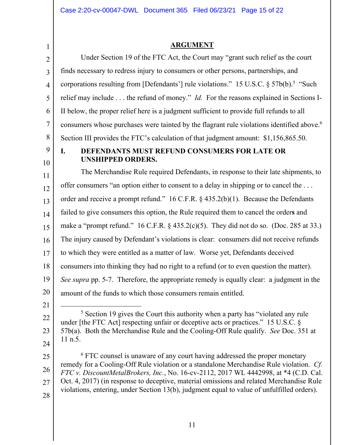<span id="page-14-0"></span>consumers whose purchases were tainted by the flagrant rule violations identified above.<sup>6</sup> make a "prompt refund."  $16$  C.F.R. § 435.2(c)(5). They did not do so. (Doc. 285 at 33.)  $\overline{a}$ 1 2 3 4 5 6 7 8 9 10 11 12 13 14 15 16 17 18 19 20 21 22 23 24 25 26 27 28 **ARGUMENT**  Under Section 19 of the FTC Act, the Court may "grant such relief as the court finds necessary to redress injury to consumers or other persons, partnerships, and corporations resulting from [Defendants'] rule violations." 15 U.S.C. §  $57b(b)$ .<sup>5</sup> "Such relief may include . . . the refund of money." *Id.* For the reasons explained in Sections I-II below, the proper relief here is a judgment sufficient to provide full refunds to all Section III provides the FTC's calculation of that judgment amount: [\\$1,156,865.50.](https://1,156,865.50) **I. DEFENDANTS MUST REFUND CONSUMERS FOR LATE OR UNSHIPPED ORDERS.**  The Merchandise Rule required Defendants, in response to their late shipments, to offer consumers "an option either to consent to a delay in shipping or to cancel the . . . order and receive a prompt refund." 16 C.F.R. § 435.2(b)(1). Because the Defendants failed to give consumers this option, the Rule required them to cancel the order**s** and The injury caused by Defendant's violations is clear: consumers did not receive refunds to which they were entitled as a matter of law. Worse yet, Defendants deceived consumers into thinking they had no right to a refund (or to even question the matter). *See supra* pp. 5-7. Therefore, the appropriate remedy is equally clear: a judgment in the amount of the funds to which those consumers remain entitled. <sup>5</sup> Section 19 gives the Court this authority when a party has "violated any rule under [the FTC Act] respecting unfair or deceptive acts or practices." 15 U.S.C. § 57b(a). Both the Merchandise Rule and the Cooling-Off Rule qualify. *See* Doc. 351 at 11 n.5. <sup>6</sup> FTC counsel is unaware of any court having addressed the proper monetary remedy for a Cooling-Off Rule violation or a standalone Merchandise Rule violation. *Cf. FTC v. DiscountMetalBrokers, Inc.*, No. 16-cv-2112, 2017 WL 4442998, at \*4 (C.D. Cal. Oct. 4, 2017) (in response to deceptive, material omissions and related Merchandise Rule violations, entering, under Section 13(b), judgment equal to value of unfulfilled orders).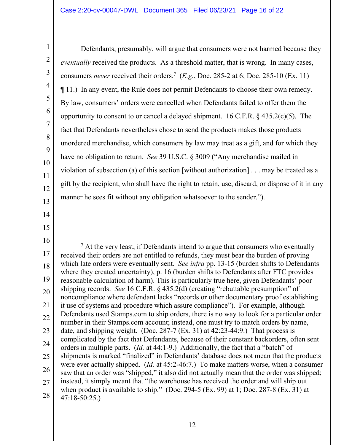<span id="page-15-0"></span>Defendants, presumably, will argue that consumers were not harmed because they *eventually* received the products. As a threshold matter, that is wrong. In many cases, consumers *never* received their orders.<sup>7</sup> (*E.g.*, Doc. 285-2 at 6; Doc. 285-10 (Ex. 11) ¶ 11.) In any event, the Rule does not permit Defendants to choose their own remedy. By law, consumers' orders were cancelled when Defendants failed to offer them the opportunity to consent to or cancel a delayed shipment. 16 C.F.R. § 435.2(c)(5). The fact that Defendants nevertheless chose to send the products makes those products unordered merchandise, which consumers by law may treat as a gift, and for which they have no obligation to return. *See* 39 U.S.C. § 3009 ("Any merchandise mailed in violation of subsection (a) of this section [without authorization] . . . may be treated as a gift by the recipient, who shall have the right to retain, use, discard, or dispose of it in any manner he sees fit without any obligation whatsoever to the sender.").

- 
- $\overline{a}$ 16 19 20 22 23 24 25 26 27 28  $<sup>7</sup>$  At the very least, if Defendants intend to argue that consumers who eventually</sup> received their orders are not entitled to refunds, they must bear the burden of proving which late orders were eventually sent. *See infra* pp. 13-15 (burden shifts to Defendants where they created uncertainty), p. 16 (burden shifts to Defendants after FTC provides reasonable calculation of harm). This is particularly true here, given Defendants' poor shipping records. *See* 16 C.F.R. § 435.2(d) (creating "rebuttable presumption" of noncompliance where defendant lacks "records or other documentary proof establishing it use of systems and procedure which assure compliance"). For example, although Defendants used [Stamps.com](https://Stamps.com) to ship orders, there is no way to look for a particular order number in their [Stamps.com](https://Stamps.com) account; instead, one must try to match orders by name, date, and shipping weight. (Doc. 287-7 (Ex. 31) at 42:23-44:9.) That process is complicated by the fact that Defendants, because of their constant backorders, often sent orders in multiple parts. (*Id.* at 44:1-9.) Additionally, the fact that a "batch" of shipments is marked "finalized" in Defendants' database does not mean that the products were ever actually shipped. (*Id.* at 45:2-46:7.) To make matters worse, when a consumer saw that an order was "shipped," it also did not actually mean that the order was shipped; instead, it simply meant that "the warehouse has received the order and will ship out when product is available to ship." (Doc. 294-5 (Ex. 99) at 1; Doc. 287-8 (Ex. 31) at 47:18-50:25.)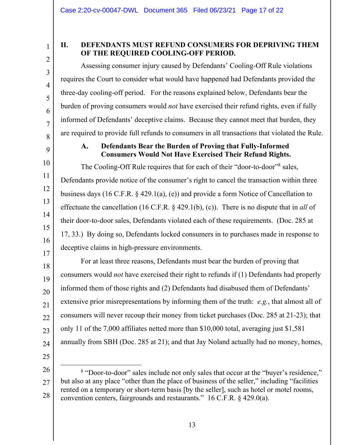3

4

5

6

7

## <span id="page-16-0"></span>**II. DEFENDANTS MUST REFUND CONSUMERS FOR DEPRIVING THEM OF THE REQUIRED COOLING-OFF PERIOD.**

Assessing consumer injury caused by Defendants' Cooling-Off Rule violations requires the Court to consider what would have happened had Defendants provided the three-day cooling-off period. For the reasons explained below, Defendants bear the burden of proving consumers would *not* have exercised their refund rights, even if fully informed of Defendants' deceptive claims. Because they cannot meet that burden, they are required to provide full refunds to consumers in all transactions that violated the Rule.

8 9

11

12

13

17

### $\mathbf{A}$ . **Defendants Bear the Burden of Proving that Fully-Informed Consumers Would Not Have Exercised Their Refund Rights.**

10 14 15 16 The Cooling-Off Rule requires that for each of their "door-to-door"<sup>8</sup> sales, Defendants provide notice of the consumer's right to cancel the transaction within three business days (16 C.F.R. § 429.1(a), (e)) and provide a form Notice of Cancellation to effectuate the cancellation (16 C.F.R. § 429.1(b), (c)). There is no dispute that in *all* of their door-to-door sales, Defendants violated each of these requirements. (Doc. 285 at 17, 33.) By doing so, Defendants locked consumers in to purchases made in response to deceptive claims in high-pressure environments.

18 19 20 21 22 23 24 For at least three reasons, Defendants must bear the burden of proving that consumers would *not* have exercised their right to refunds if (1) Defendants had properly informed them of those rights and (2) Defendants had disabused them of Defendants' extensive prior misrepresentations by informing them of the truth: *e.g.*, that almost all of consumers will never recoup their money from ticket purchases (Doc. 285 at 21-23); that only 11 of the 7,000 affiliates netted more than \$10,000 total, averaging just \$1,581 annually from SBH (Doc. 285 at 21); and that Jay Noland actually had no money, homes,

25

 $\overline{a}$ 

26 27 28 <sup>8</sup> "Door-to-door" sales include not only sales that occur at the "buyer's residence," but also at any place "other than the place of business of the seller," including "facilities rented on a temporary or short-term basis [by the seller], such as hotel or motel rooms, convention centers, fairgrounds and restaurants." 16 C.F.R. § 429.0(a).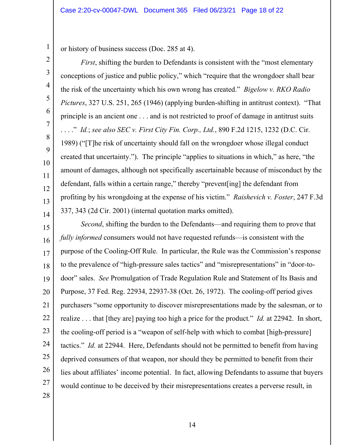or history of business success (Doc. 285 at 4).

*First*, shifting the burden to Defendants is consistent with the "most elementary conceptions of justice and public policy," which "require that the wrongdoer shall bear the risk of the uncertainty which his own wrong has created." *Bigelow v. RKO Radio Pictures*, 327 U.S. 251, 265 (1946) (applying burden-shifting in antitrust context). "That principle is an ancient one . . . and is not restricted to proof of damage in antitrust suits . . . ." *Id.*; *see also SEC v. First City Fin. Corp., Ltd.*, 890 F.2d 1215, 1232 (D.C. Cir. 1989) ("[T]he risk of uncertainty should fall on the wrongdoer whose illegal conduct created that uncertainty."). The principle "applies to situations in which," as here, "the amount of damages, although not specifically ascertainable because of misconduct by the defendant, falls within a certain range," thereby "prevent[ing] the defendant from profiting by his wrongdoing at the expense of his victim." *Raishevich v. Foster*, 247 F.3d 337, 343 (2d Cir. 2001) (internal quotation marks omitted).

15 16 17 18 19 20 21 22 23 24 25 26 27 *Second*, shifting the burden to the Defendants—and requiring them to prove that *fully informed* consumers would not have requested refunds—is consistent with the purpose of the Cooling-Off Rule. In particular, the Rule was the Commission's response to the prevalence of "high-pressure sales tactics" and "misrepresentations" in "door-todoor" sales. *See* Promulgation of Trade Regulation Rule and Statement of Its Basis and Purpose, 37 Fed. Reg. 22934, 22937-38 (Oct. 26, 1972). The cooling-off period gives purchasers "some opportunity to discover misrepresentations made by the salesman, or to realize . . . that [they are] paying too high a price for the product*.*" *Id.* at 22942. In short, the cooling-off period is a "weapon of self-help with which to combat [high-pressure] tactics." *Id.* at 22944. Here, Defendants should not be permitted to benefit from having deprived consumers of that weapon, nor should they be permitted to benefit from their lies about affiliates' income potential. In fact, allowing Defendants to assume that buyers would continue to be deceived by their misrepresentations creates a perverse result, in

28

<span id="page-17-0"></span>1

2

3

4

5

6

7

8

9

10

11

12

13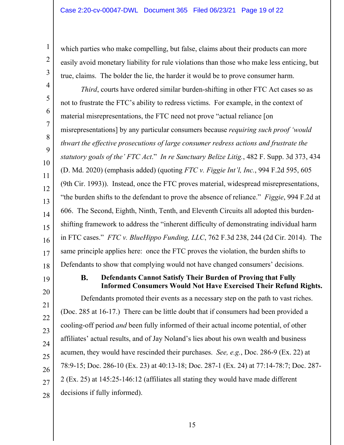which parties who make compelling, but false, claims about their products can more easily avoid monetary liability for rule violations than those who make less enticing, but true, claims. The bolder the lie, the harder it would be to prove consumer harm.

*Third*, courts have ordered similar burden-shifting in other FTC Act cases so as not to frustrate the FTC's ability to redress victims. For example, in the context of material misrepresentations, the FTC need not prove "actual reliance [on misrepresentations] by any particular consumers because *requiring such proof 'would thwart the effective prosecutions of large consumer redress actions and frustrate the statutory goals of the' FTC Act*." *In re Sanctuary Belize Litig.*, 482 F. Supp. 3d 373, 434 (D. Md. 2020) (emphasis added) (quoting *FTC v. Figgie Int'l, Inc.*, 994 F.2d 595, 605 (9th Cir. 1993)). Instead, once the FTC proves material, widespread misrepresentations, "the burden shifts to the defendant to prove the absence of reliance." *Figgie*, 994 F.2d at 606. The Second, Eighth, Ninth, Tenth, and Eleventh Circuits all adopted this burdenshifting framework to address the "inherent difficulty of demonstrating individual harm in FTC cases." *FTC v. BlueHippo Funding, LLC*, 762 F.3d 238, 244 (2d Cir. 2014). The same principle applies here: once the FTC proves the violation, the burden shifts to Defendants to show that complying would not have changed consumers' decisions.

19

<span id="page-18-0"></span>1

2

3

4

5

6

7

8

9

10

11

12

13

14

15

16

17

18

### **B. Defendants Cannot Satisfy Their Burden of Proving that Fully Informed Consumers Would Not Have Exercised Their Refund Rights.**

20 21 22 23 24 25 26 27 28 Defendants promoted their events as a necessary step on the path to vast riches. (Doc. 285 at 16-17.) There can be little doubt that if consumers had been provided a cooling-off period *and* been fully informed of their actual income potential, of other affiliates' actual results, and of Jay Noland's lies about his own wealth and business acumen, they would have rescinded their purchases. *See, e.g.*, Doc. 286-9 (Ex. 22) at 78:9-15; Doc. 286-10 (Ex. 23) at 40:13-18; Doc. 287-1 (Ex. 24) at 77:14-78:7; Doc. 287- 2 (Ex. 25) at 145:25-146:12 (affiliates all stating they would have made different decisions if fully informed).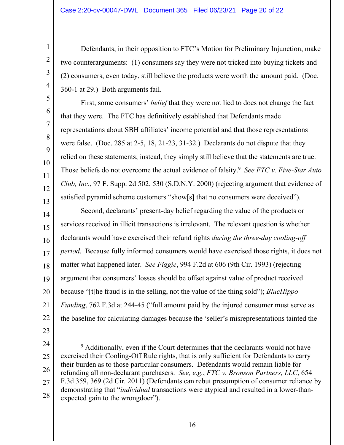Defendants, in their opposition to FTC's Motion for Preliminary Injunction, make two counterarguments: (1) consumers say they were not tricked into buying tickets and (2) consumers, even today, still believe the products were worth the amount paid. (Doc. 360-1 at 29.) Both arguments fail.

Those beliefs do not overcome the actual evidence of falsity.<sup>9</sup> *See FTC v. Five-Star Auto* First, some consumers' *belief* that they were not lied to does not change the fact that they were. The FTC has definitively established that Defendants made representations about SBH affiliates' income potential and that those representations were false. (Doc. 285 at 2-5, 18, 21-23, 31-32.) Declarants do not dispute that they relied on these statements; instead, they simply still believe that the statements are true. *Club, Inc.*, 97 F. Supp. 2d 502, 530 (S.D.N.Y. 2000) (rejecting argument that evidence of satisfied pyramid scheme customers "show[s] that no consumers were deceived").

14 15 16 17 18 19 20 21 22 Second, declarants' present-day belief regarding the value of the products or services received in illicit transactions is irrelevant. The relevant question is whether declarants would have exercised their refund rights *during the three-day cooling-off period*. Because fully informed consumers would have exercised those rights, it does not matter what happened later. *See Figgie*, 994 F.2d at 606 (9th Cir. 1993) (rejecting argument that consumers' losses should be offset against value of product received because "[t]he fraud is in the selling, not the value of the thing sold"); *BlueHippo Funding*, 762 F.3d at 244-45 ("full amount paid by the injured consumer must serve as the baseline for calculating damages because the 'seller's misrepresentations tainted the

23

<span id="page-19-0"></span>1

2

3

4

5

6

7

8

9

10

11

12

13

 $\overline{a}$ 24 25 26 27 28  $9$  Additionally, even if the Court determines that the declarants would not have exercised their Cooling-Off Rule rights, that is only sufficient for Defendants to carry their burden as to those particular consumers. Defendants would remain liable for refunding all non-declarant purchasers. *See, e.g.*, *FTC v. Bronson Partners, LLC*, 654 F.3d 359, 369 (2d Cir. 2011) (Defendants can rebut presumption of consumer reliance by demonstrating that "*individual* transactions were atypical and resulted in a lower-thanexpected gain to the wrongdoer").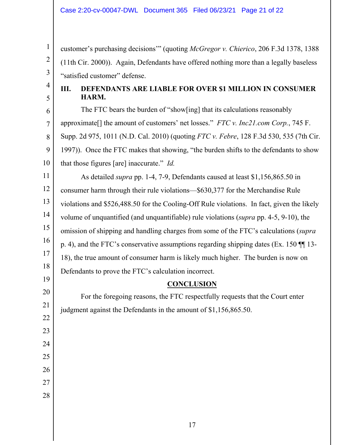customer's purchasing decisions'" (quoting *McGregor v. Chierico*, 206 F.3d 1378, 1388 (11th Cir. 2000)). Again, Defendants have offered nothing more than a legally baseless "satisfied customer" defense.

4 5

<span id="page-20-0"></span>1

2

3

# **III. DEFENDANTS ARE LIABLE FOR OVER \$1 MILLION IN CONSUMER HARM.**

6 7 8 9 10 11 The FTC bears the burden of "show[ing] that its calculations reasonably approximate[] the amount of customers' net losses." *FTC v. [Inc21.com](https://Inc21.com) Corp.*, 745 F. Supp. 2d 975, 1011 (N.D. Cal. 2010) (quoting *FTC v. Febre*, 128 F.3d 530, 535 (7th Cir. 1997)). Once the FTC makes that showing, "the burden shifts to the defendants to show that those figures [are] inaccurate." *Id.*  As detailed *supra* pp. 1-4, 7-9, Defendants caused at least [\\$1,156,865.50](https://1,156,865.50) in

12 13 14 15 16 17 18 consumer harm through their rule violations—\$630,377 for the Merchandise Rule violations and [\\$526,488.50](https://526,488.50) for the Cooling-Off Rule violations. In fact, given the likely volume of unquantified (and unquantifiable) rule violations (*supra* pp. 4-5, 9-10), the omission of shipping and handling charges from some of the FTC's calculations (*supra*  p. 4), and the FTC's conservative assumptions regarding shipping dates (Ex. 150 ¶¶ 13- 18), the true amount of consumer harm is likely much higher. The burden is now on Defendants to prove the FTC's calculation incorrect.

## **CONCLUSION**

20 22 For the foregoing reasons, the FTC respectfully requests that the Court enter judgment against the Defendants in the amount of [\\$1,156,865.50.](https://1,156,865.50)

26 27

19

21

23

24

25